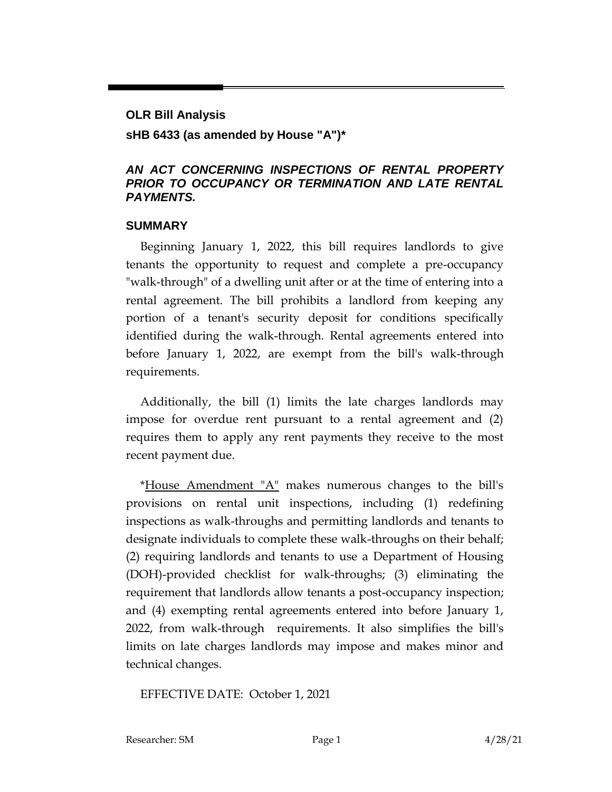# **OLR Bill Analysis sHB 6433 (as amended by House "A")\***

### *AN ACT CONCERNING INSPECTIONS OF RENTAL PROPERTY PRIOR TO OCCUPANCY OR TERMINATION AND LATE RENTAL PAYMENTS.*

### **SUMMARY**

Beginning January 1, 2022, this bill requires landlords to give tenants the opportunity to request and complete a pre-occupancy "walk-through" of a dwelling unit after or at the time of entering into a rental agreement. The bill prohibits a landlord from keeping any portion of a tenant's security deposit for conditions specifically identified during the walk-through. Rental agreements entered into before January 1, 2022, are exempt from the bill's walk-through requirements.

Additionally, the bill (1) limits the late charges landlords may impose for overdue rent pursuant to a rental agreement and (2) requires them to apply any rent payments they receive to the most recent payment due.

\*House Amendment "A" makes numerous changes to the bill's provisions on rental unit inspections, including (1) redefining inspections as walk-throughs and permitting landlords and tenants to designate individuals to complete these walk-throughs on their behalf; (2) requiring landlords and tenants to use a Department of Housing (DOH)-provided checklist for walk-throughs; (3) eliminating the requirement that landlords allow tenants a post-occupancy inspection; and (4) exempting rental agreements entered into before January 1, 2022, from walk-through requirements. It also simplifies the bill's limits on late charges landlords may impose and makes minor and technical changes.

EFFECTIVE DATE: October 1, 2021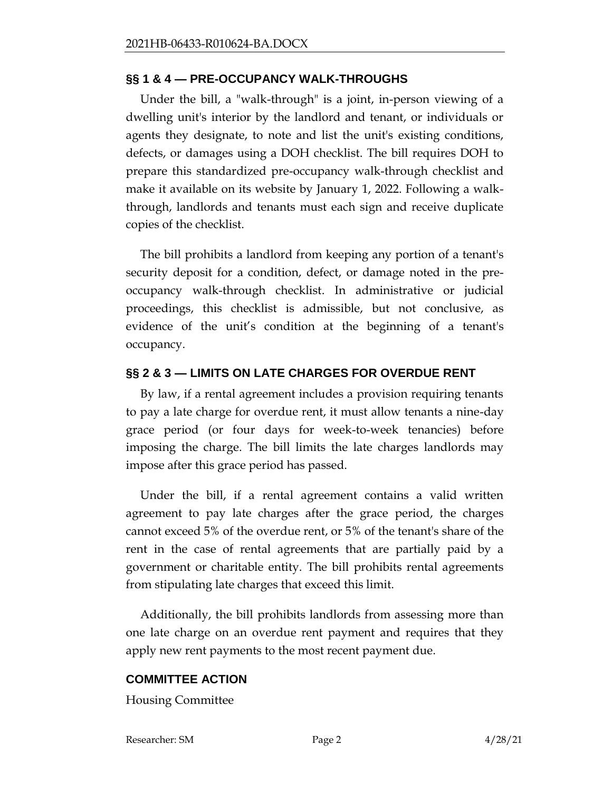# **§§ 1 & 4 — PRE-OCCUPANCY WALK-THROUGHS**

Under the bill, a "walk-through" is a joint, in-person viewing of a dwelling unit's interior by the landlord and tenant, or individuals or agents they designate, to note and list the unit's existing conditions, defects, or damages using a DOH checklist. The bill requires DOH to prepare this standardized pre-occupancy walk-through checklist and make it available on its website by January 1, 2022. Following a walkthrough, landlords and tenants must each sign and receive duplicate copies of the checklist.

The bill prohibits a landlord from keeping any portion of a tenant's security deposit for a condition, defect, or damage noted in the preoccupancy walk-through checklist. In administrative or judicial proceedings, this checklist is admissible, but not conclusive, as evidence of the unit's condition at the beginning of a tenant's occupancy.

# **§§ 2 & 3 — LIMITS ON LATE CHARGES FOR OVERDUE RENT**

By law, if a rental agreement includes a provision requiring tenants to pay a late charge for overdue rent, it must allow tenants a nine-day grace period (or four days for week-to-week tenancies) before imposing the charge. The bill limits the late charges landlords may impose after this grace period has passed.

Under the bill, if a rental agreement contains a valid written agreement to pay late charges after the grace period, the charges cannot exceed 5% of the overdue rent, or 5% of the tenant's share of the rent in the case of rental agreements that are partially paid by a government or charitable entity. The bill prohibits rental agreements from stipulating late charges that exceed this limit.

Additionally, the bill prohibits landlords from assessing more than one late charge on an overdue rent payment and requires that they apply new rent payments to the most recent payment due.

#### **COMMITTEE ACTION**

Housing Committee